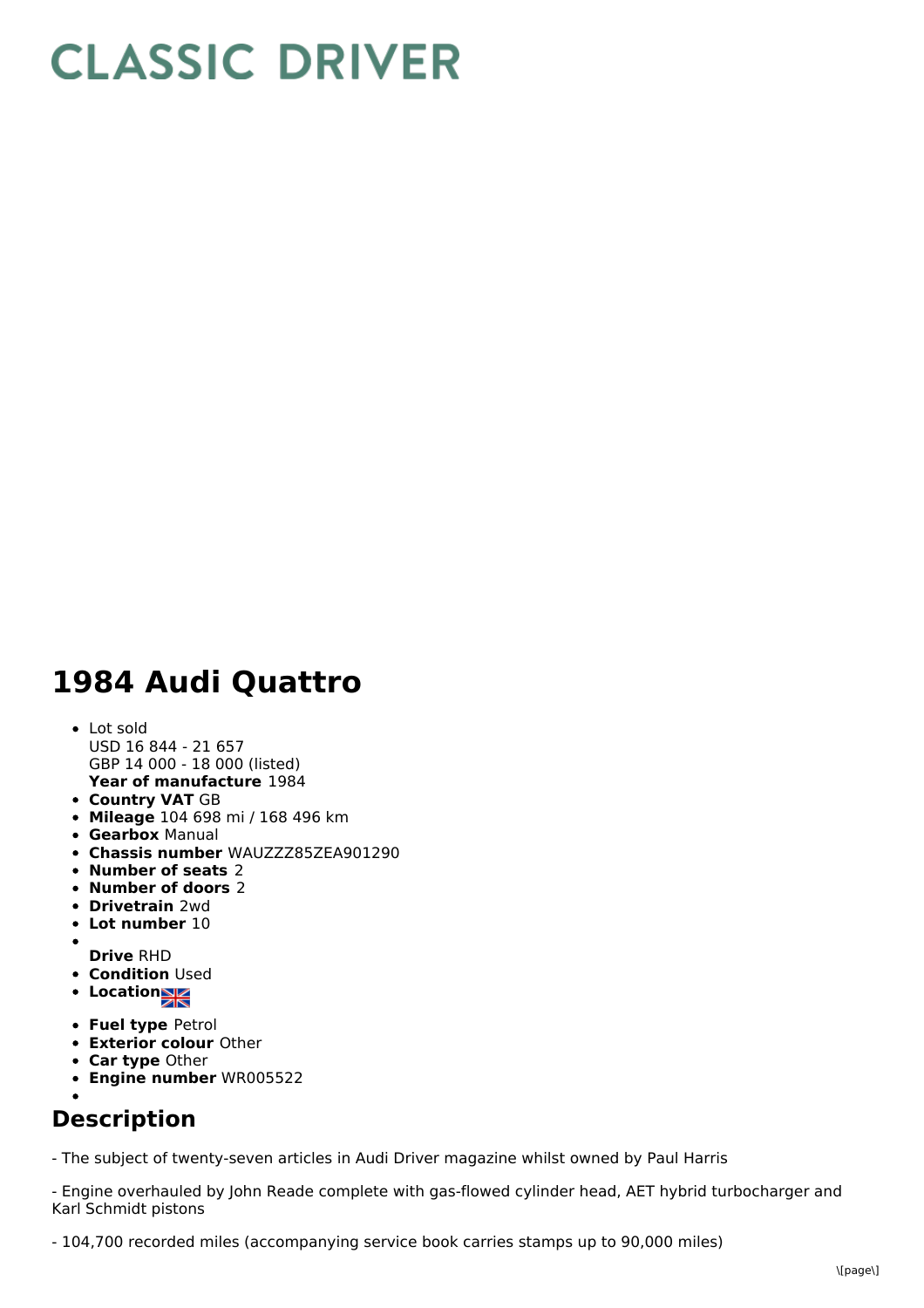## **CLASSIC DRIVER**

## **1984 Audi Quattro**

- **Year of manufacture** 1984 Lot sold USD 16 844 - 21 657 GBP 14 000 - 18 000 (listed)
- **Country VAT** GB
- **Mileage** 104 698 mi / 168 496 km
- **Gearbox** Manual
- **Chassis number** WAUZZZ85ZEA901290
- **Number of seats** 2
- **Number of doors** 2
- **Drivetrain** 2wd
- **Lot number** 10
- 
- **Drive** RHD **• Condition Used**
- **Location**
- **Fuel type** Petrol
- **Exterior colour** Other
- **Car type** Other
- **Engine number** WR005522

## **Description**

- The subject of twenty-seven articles in Audi Driver magazine whilst owned by Paul Harris

- Engine overhauled by John Reade complete with gas-flowed cylinder head, AET hybrid turbocharger and Karl Schmidt pistons

- 104,700 recorded miles (accompanying service book carries stamps up to 90,000 miles)